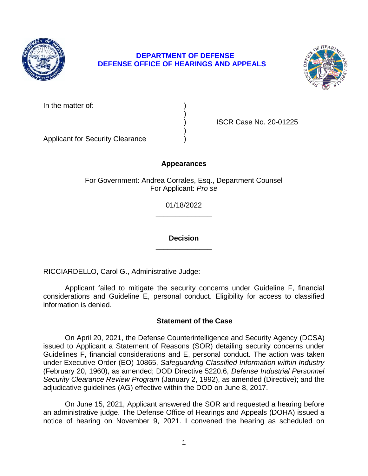

# **DEPARTMENT OF DEFENSE DEFENSE OFFICE OF HEARINGS AND APPEALS**



In the matter of:

) ISCR Case No. 20-01225

Applicant for Security Clearance )

### **Appearances**

)

)

For Government: Andrea Corrales, Esq., Department Counsel For Applicant: *Pro se* 

> **\_\_\_\_\_\_\_\_\_\_\_\_\_\_**  01/18/2022

> **\_\_\_\_\_\_\_\_\_\_\_\_\_\_ Decision**

RICCIARDELLO, Carol G., Administrative Judge:

 Applicant failed to mitigate the security concerns under Guideline F, financial considerations and Guideline E, personal conduct. Eligibility for access to classified information is denied.

### **Statement of the Case**

 On April 20, 2021, the Defense Counterintelligence and Security Agency (DCSA) issued to Applicant a Statement of Reasons (SOR) detailing security concerns under Guidelines F, financial considerations and E, personal conduct. The action was taken under Executive Order (EO) 10865, *Safeguarding Classified Information within Industry*  (February 20, 1960), as amended; DOD Directive 5220.6, *Defense Industrial Personnel Security Clearance Review Program* (January 2, 1992), as amended (Directive); and the adjudicative guidelines (AG) effective within the DOD on June 8, 2017.

 On June 15, 2021, Applicant answered the SOR and requested a hearing before an administrative judge. The Defense Office of Hearings and Appeals (DOHA) issued a notice of hearing on November 9, 2021. I convened the hearing as scheduled on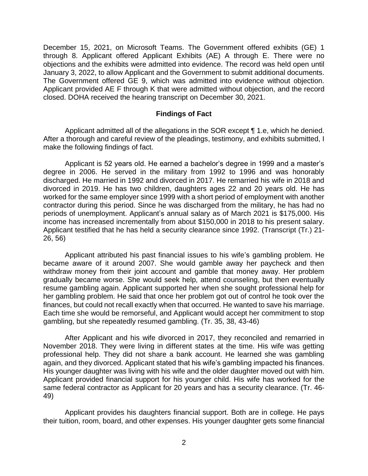through 8. Applicant offered Applicant Exhibits (AE) A through E. There were no objections and the exhibits were admitted into evidence. The record was held open until January 3, 2022, to allow Applicant and the Government to submit additional documents. The Government offered GE 9, which was admitted into evidence without objection. Applicant provided AE F through K that were admitted without objection, and the record December 15, 2021, on Microsoft Teams. The Government offered exhibits (GE) 1 closed. DOHA received the hearing transcript on December 30, 2021.

#### **Findings of Fact**

Applicant admitted all of the allegations in the SOR except ¶ 1.e, which he denied. After a thorough and careful review of the pleadings, testimony, and exhibits submitted, I make the following findings of fact.

Applicant is 52 years old. He earned a bachelor's degree in 1999 and a master's degree in 2006. He served in the military from 1992 to 1996 and was honorably discharged. He married in 1992 and divorced in 2017. He remarried his wife in 2018 and divorced in 2019. He has two children, daughters ages 22 and 20 years old. He has worked for the same employer since 1999 with a short period of employment with another contractor during this period. Since he was discharged from the military, he has had no periods of unemployment. Applicant's annual salary as of March 2021 is \$175,000. His income has increased incrementally from about \$150,000 in 2018 to his present salary. Applicant testified that he has held a security clearance since 1992. (Transcript (Tr.) 21- 26, 56)

 Applicant attributed his past financial issues to his wife's gambling problem. He became aware of it around 2007. She would gamble away her paycheck and then withdraw money from their joint account and gamble that money away. Her problem gradually became worse. She would seek help, attend counseling, but then eventually resume gambling again. Applicant supported her when she sought professional help for her gambling problem. He said that once her problem got out of control he took over the finances, but could not recall exactly when that occurred. He wanted to save his marriage. Each time she would be remorseful, and Applicant would accept her commitment to stop gambling, but she repeatedly resumed gambling. (Tr. 35, 38, 43-46)

After Applicant and his wife divorced in 2017, they reconciled and remarried in November 2018. They were living in different states at the time. His wife was getting professional help. They did not share a bank account. He learned she was gambling again, and they divorced. Applicant stated that his wife's gambling impacted his finances. His younger daughter was living with his wife and the older daughter moved out with him. Applicant provided financial support for his younger child. His wife has worked for the same federal contractor as Applicant for 20 years and has a security clearance. (Tr. 46- 49)

 Applicant provides his daughters financial support. Both are in college. He pays their tuition, room, board, and other expenses. His younger daughter gets some financial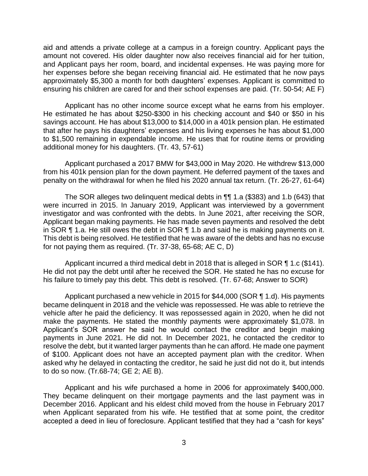aid and attends a private college at a campus in a foreign country. Applicant pays the amount not covered. His older daughter now also receives financial aid for her tuition, and Applicant pays her room, board, and incidental expenses. He was paying more for her expenses before she began receiving financial aid. He estimated that he now pays approximately \$5,300 a month for both daughters' expenses. Applicant is committed to ensuring his children are cared for and their school expenses are paid. (Tr. 50-54; AE F)

 Applicant has no other income source except what he earns from his employer. He estimated he has about \$250-\$300 in his checking account and \$40 or \$50 in his savings account. He has about \$13,000 to \$14,000 in a 401k pension plan. He estimated that after he pays his daughters' expenses and his living expenses he has about \$1,000 to \$1,500 remaining in expendable income. He uses that for routine items or providing additional money for his daughters. (Tr. 43, 57-61)

 Applicant purchased a 2017 BMW for \$43,000 in May 2020. He withdrew \$13,000 from his 401k pension plan for the down payment. He deferred payment of the taxes and penalty on the withdrawal for when he filed his 2020 annual tax return. (Tr. 26-27, 61-64)

 The SOR alleges two delinquent medical debts in ¶¶ 1.a (\$383) and 1.b (643) that were incurred in 2015. In January 2019, Applicant was interviewed by a government investigator and was confronted with the debts. In June 2021, after receiving the SOR, Applicant began making payments. He has made seven payments and resolved the debt in SOR  $\P$  1.a. He still owes the debt in SOR  $\P$  1.b and said he is making payments on it. This debt is being resolved. He testified that he was aware of the debts and has no excuse for not paying them as required. (Tr. 37-38, 65-68; AE C, D)

Applicant incurred a third medical debt in 2018 that is alleged in SOR ¶ 1.c (\$141). He did not pay the debt until after he received the SOR. He stated he has no excuse for his failure to timely pay this debt. This debt is resolved. (Tr. 67-68; Answer to SOR)

 Applicant purchased a new vehicle in 2015 for \$44,000 (SOR ¶ 1.d). His payments became delinquent in 2018 and the vehicle was repossessed. He was able to retrieve the vehicle after he paid the deficiency. It was repossessed again in 2020, when he did not make the payments. He stated the monthly payments were approximately \$1,078. In Applicant's SOR answer he said he would contact the creditor and begin making payments in June 2021. He did not. In December 2021, he contacted the creditor to resolve the debt, but it wanted larger payments than he can afford. He made one payment of \$100. Applicant does not have an accepted payment plan with the creditor. When asked why he delayed in contacting the creditor, he said he just did not do it, but intends to do so now. (Tr.68-74; GE 2; AE B).

 Applicant and his wife purchased a home in 2006 for approximately \$400,000. They became delinquent on their mortgage payments and the last payment was in December 2016. Applicant and his eldest child moved from the house in February 2017 when Applicant separated from his wife. He testified that at some point, the creditor accepted a deed in lieu of foreclosure. Applicant testified that they had a "cash for keys"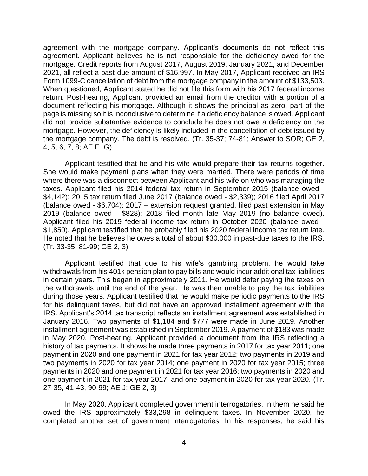agreement with the mortgage company. Applicant's documents do not reflect this agreement. Applicant believes he is not responsible for the deficiency owed for the mortgage. Credit reports from August 2017, August 2019, January 2021, and December 2021, all reflect a past-due amount of \$16,997. In May 2017, Applicant received an IRS Form 1099-C cancellation of debt from the mortgage company in the amount of \$133,503. When questioned, Applicant stated he did not file this form with his 2017 federal income return. Post-hearing, Applicant provided an email from the creditor with a portion of a document reflecting his mortgage. Although it shows the principal as zero, part of the page is missing so it is inconclusive to determine if a deficiency balance is owed. Applicant did not provide substantive evidence to conclude he does not owe a deficiency on the the mortgage company. The debt is resolved. (Tr. 35-37; 74-81; Answer to SOR; GE 2, mortgage. However, the deficiency is likely included in the cancellation of debt issued by 4, 5, 6, 7, 8; AE E, G)

Applicant testified that he and his wife would prepare their tax returns together. She would make payment plans when they were married. There were periods of time where there was a disconnect between Applicant and his wife on who was managing the taxes. Applicant filed his 2014 federal tax return in September 2015 (balance owed - \$4,142); 2015 tax return filed June 2017 (balance owed - \$2,339); 2016 filed April 2017 (balance owed - \$6,704); 2017 – extension request granted, filed past extension in May 2019 (balance owed - \$828); 2018 filed month late May 2019 (no balance owed). Applicant filed his 2019 federal income tax return in October 2020 (balance owed - \$1,850). Applicant testified that he probably filed his 2020 federal income tax return late. He noted that he believes he owes a total of about \$30,000 in past-due taxes to the IRS. (Tr. 33-35, 81-99; GE 2, 3)

 Applicant testified that due to his wife's gambling problem, he would take withdrawals from his 401k pension plan to pay bills and would incur additional tax liabilities in certain years. This began in approximately 2011. He would defer paying the taxes on the withdrawals until the end of the year. He was then unable to pay the tax liabilities during those years. Applicant testified that he would make periodic payments to the IRS for his delinquent taxes, but did not have an approved installment agreement with the January 2016. Two payments of \$1,184 and \$777 were made in June 2019. Another installment agreement was established in September 2019. A payment of \$183 was made in May 2020. Post-hearing, Applicant provided a document from the IRS reflecting a history of tax payments. It shows he made three payments in 2017 for tax year 2011; one two payments in 2020 for tax year 2014; one payment in 2020 for tax year 2015; three payments in 2020 and one payment in 2021 for tax year 2016; two payments in 2020 and one payment in 2021 for tax year 2017; and one payment in 2020 for tax year 2020. (Tr. IRS. Applicant's 2014 tax transcript reflects an installment agreement was established in payment in 2020 and one payment in 2021 for tax year 2012; two payments in 2019 and 27-35, 41-43, 90-99; AE J; GE 2, 3)

 In May 2020, Applicant completed government interrogatories. In them he said he owed the IRS approximately \$33,298 in delinquent taxes. In November 2020, he completed another set of government interrogatories. In his responses, he said his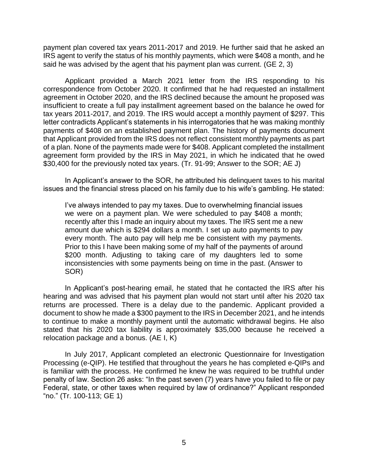payment plan covered tax years 2011-2017 and 2019. He further said that he asked an IRS agent to verify the status of his monthly payments, which were \$408 a month, and he said he was advised by the agent that his payment plan was current. (GE 2, 3)

 Applicant provided a March 2021 letter from the IRS responding to his correspondence from October 2020. It confirmed that he had requested an installment agreement in October 2020, and the IRS declined because the amount he proposed was insufficient to create a full pay installment agreement based on the balance he owed for tax years 2011-2017, and 2019. The IRS would accept a monthly payment of \$297. This letter contradicts Applicant's statements in his interrogatories that he was making monthly payments of \$408 on an established payment plan. The history of payments document that Applicant provided from the IRS does not reflect consistent monthly payments as part of a plan. None of the payments made were for \$408. Applicant completed the installment agreement form provided by the IRS in May 2021, in which he indicated that he owed \$30,400 for the previously noted tax years. (Tr. 91-99; Answer to the SOR; AE J)

 In Applicant's answer to the SOR, he attributed his delinquent taxes to his marital issues and the financial stress placed on his family due to his wife's gambling. He stated:

I've always intended to pay my taxes. Due to overwhelming financial issues we were on a payment plan. We were scheduled to pay \$408 a month; recently after this I made an inquiry about my taxes. The IRS sent me a new amount due which is \$294 dollars a month. I set up auto payments to pay every month. The auto pay will help me be consistent with my payments. Prior to this I have been making some of my half of the payments of around \$200 month. Adjusting to taking care of my daughters led to some inconsistencies with some payments being on time in the past. (Answer to SOR)

 In Applicant's post-hearing email, he stated that he contacted the IRS after his hearing and was advised that his payment plan would not start until after his 2020 tax returns are processed. There is a delay due to the pandemic. Applicant provided a document to show he made a \$300 payment to the IRS in December 2021, and he intends to continue to make a monthly payment until the automatic withdrawal begins. He also stated that his 2020 tax liability is approximately \$35,000 because he received a relocation package and a bonus. (AE I, K)

 In July 2017, Applicant completed an electronic Questionnaire for Investigation Processing (e-QIP). He testified that throughout the years he has completed e-QIPs and is familiar with the process. He confirmed he knew he was required to be truthful under penalty of law. Section 26 asks: "In the past seven (7) years have you failed to file or pay Federal, state, or other taxes when required by law of ordinance?" Applicant responded "no." (Tr. 100-113; GE 1)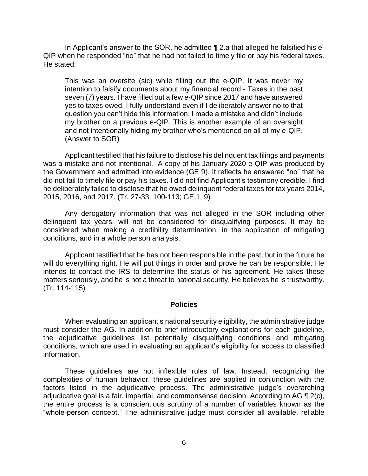In Applicant's answer to the SOR, he admitted ¶ 2.a that alleged he falsified his e- QIP when he responded "no" that he had not failed to timely file or pay his federal taxes. He stated:

This was an oversite (sic) while filling out the e-QIP. It was never my intention to falsify documents about my financial record - Taxes in the past seven (7) years. I have filled out a few e-QIP since 2017 and have answered yes to taxes owed. I fully understand even if I deliberately answer no to that question you can't hide this information. I made a mistake and didn't include my brother on a previous e-QIP. This is another example of an oversight and not intentionally hiding my brother who's mentioned on all of my e-QIP. (Answer to SOR)

 Applicant testified that his failure to disclose his delinquent tax filings and payments was a mistake and not intentional. A copy of his January 2020 e-QIP was produced by the Government and admitted into evidence (GE 9). It reflects he answered "no" that he did not fail to timely file or pay his taxes. I did not find Applicant's testimony credible. I find he deliberately failed to disclose that he owed delinquent federal taxes for tax years 2014, 2015, 2016, and 2017. (Tr. 27-33, 100-113; GE 1, 9)

 Any derogatory information that was not alleged in the SOR including other delinquent tax years, will not be considered for disqualifying purposes. It may be considered when making a credibility determination, in the application of mitigating conditions, and in a whole person analysis.

 Applicant testified that he has not been responsible in the past, but in the future he will do everything right. He will put things in order and prove he can be responsible. He intends to contact the IRS to determine the status of his agreement. He takes these matters seriously, and he is not a threat to national security. He believes he is trustworthy. (Tr. 114-115)

#### **Policies**

 When evaluating an applicant's national security eligibility, the administrative judge must consider the AG. In addition to brief introductory explanations for each guideline, conditions, which are used in evaluating an applicant's eligibility for access to classified the adjudicative guidelines list potentially disqualifying conditions and mitigating information.

 These guidelines are not inflexible rules of law. Instead, recognizing the complexities of human behavior, these guidelines are applied in conjunction with the factors listed in the adjudicative process. The administrative judge's overarching adjudicative goal is a fair, impartial, and commonsense decision. According to AG  $\P$  2(c), the entire process is a conscientious scrutiny of a number of variables known as the "whole-person concept." The administrative judge must consider all available, reliable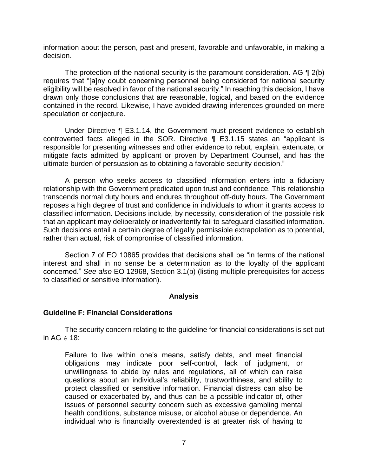information about the person, past and present, favorable and unfavorable, in making a decision.

The protection of the national security is the paramount consideration. AG  $\P$  2(b) eligibility will be resolved in favor of the national security." In reaching this decision, I have drawn only those conclusions that are reasonable, logical, and based on the evidence contained in the record. Likewise, I have avoided drawing inferences grounded on mere requires that "[a]ny doubt concerning personnel being considered for national security speculation or conjecture.

 Under Directive ¶ E3.1.14, the Government must present evidence to establish controverted facts alleged in the SOR. Directive ¶ E3.1.15 states an "applicant is responsible for presenting witnesses and other evidence to rebut, explain, extenuate, or mitigate facts admitted by applicant or proven by Department Counsel, and has the ultimate burden of persuasion as to obtaining a favorable security decision."

 A person who seeks access to classified information enters into a fiduciary relationship with the Government predicated upon trust and confidence. This relationship transcends normal duty hours and endures throughout off-duty hours. The Government reposes a high degree of trust and confidence in individuals to whom it grants access to classified information. Decisions include, by necessity, consideration of the possible risk that an applicant may deliberately or inadvertently fail to safeguard classified information. Such decisions entail a certain degree of legally permissible extrapolation as to potential, rather than actual, risk of compromise of classified information.

 Section 7 of EO 10865 provides that decisions shall be "in terms of the national interest and shall in no sense be a determination as to the loyalty of the applicant concerned." *See also* EO 12968, Section 3.1(b) (listing multiple prerequisites for access to classified or sensitive information).

### **Analysis**

### **Guideline F: Financial Considerations**

 The security concern relating to the guideline for financial considerations is set out in AG & 18:

Failure to live within one's means, satisfy debts, and meet financial obligations may indicate poor self-control, lack of judgment, or unwillingness to abide by rules and regulations, all of which can raise questions about an individual's reliability, trustworthiness, and ability to protect classified or sensitive information. Financial distress can also be caused or exacerbated by, and thus can be a possible indicator of, other issues of personnel security concern such as excessive gambling mental health conditions, substance misuse, or alcohol abuse or dependence. An individual who is financially overextended is at greater risk of having to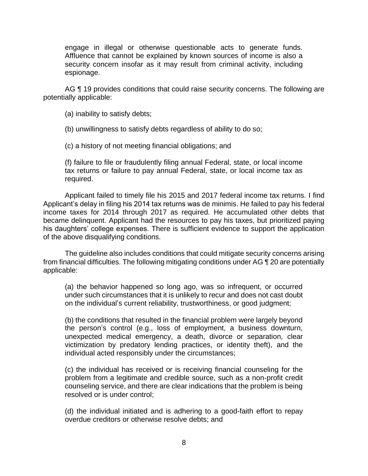engage in illegal or otherwise questionable acts to generate funds. Affluence that cannot be explained by known sources of income is also a security concern insofar as it may result from criminal activity, including espionage.

AG ¶ 19 provides conditions that could raise security concerns. The following are potentially applicable:

(a) inability to satisfy debts;

(b) unwillingness to satisfy debts regardless of ability to do so;

(c) a history of not meeting financial obligations; and

(f) failure to file or fraudulently filing annual Federal, state, or local income tax returns or failure to pay annual Federal, state, or local income tax as required.

 Applicant failed to timely file his 2015 and 2017 federal income tax returns. I find Applicant's delay in filing his 2014 tax returns was de minimis. He failed to pay his federal income taxes for 2014 through 2017 as required. He accumulated other debts that became delinquent. Applicant had the resources to pay his taxes, but prioritized paying his daughters' college expenses. There is sufficient evidence to support the application of the above disqualifying conditions.

 The guideline also includes conditions that could mitigate security concerns arising from financial difficulties. The following mitigating conditions under AG ¶ 20 are potentially applicable:

(a) the behavior happened so long ago, was so infrequent, or occurred under such circumstances that it is unlikely to recur and does not cast doubt on the individual's current reliability, trustworthiness, or good judgment;

(b) the conditions that resulted in the financial problem were largely beyond the person's control (e.g., loss of employment, a business downturn, unexpected medical emergency, a death, divorce or separation, clear victimization by predatory lending practices, or identity theft), and the individual acted responsibly under the circumstances;

(c) the individual has received or is receiving financial counseling for the problem from a legitimate and credible source, such as a non-profit credit counseling service, and there are clear indications that the problem is being resolved or is under control;

 (d) the individual initiated and is adhering to a good-faith effort to repay overdue creditors or otherwise resolve debts; and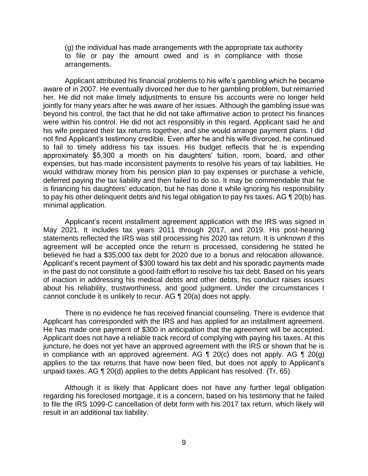(g) the individual has made arrangements with the appropriate tax authority to file or pay the amount owed and is in compliance with those arrangements.

 Applicant attributed his financial problems to his wife's gambling which he became aware of in 2007. He eventually divorced her due to her gambling problem, but remarried her. He did not make timely adjustments to ensure his accounts were no longer held jointly for many years after he was aware of her issues. Although the gambling issue was beyond his control, the fact that he did not take affirmative action to protect his finances were within his control. He did not act responsibly in this regard. Applicant said he and his wife prepared their tax returns together, and she would arrange payment plans. I did not find Applicant's testimony credible. Even after he and his wife divorced, he continued to fail to timely address his tax issues. His budget reflects that he is expending approximately \$5,300 a month on his daughters' tuition, room, board, and other expenses, but has made inconsistent payments to resolve his years of tax liabilities. He would withdraw money from his pension plan to pay expenses or purchase a vehicle, deferred paying the tax liability and then failed to do so. It may be commendable that he is financing his daughters' education, but he has done it while ignoring his responsibility to pay his other delinquent debts and his legal obligation to pay his taxes. AG ¶ 20(b) has minimal application.

 Applicant's recent installment agreement application with the IRS was signed in May 2021. It includes tax years 2011 through 2017, and 2019. His post-hearing agreement will be accepted once the return is processed, considering he stated he believed he had a \$35,000 tax debt for 2020 due to a bonus and relocation allowance. Applicant's recent payment of \$300 toward his tax debt and his sporadic payments made in the past do not constitute a good-faith effort to resolve his tax debt. Based on his years of inaction in addressing his medical debts and other debts, his conduct raises issues about his reliability, trustworthiness, and good judgment. Under the circumstances I statements reflected the IRS was still processing his 2020 tax return. It is unknown if this cannot conclude it is unlikely to recur. AG ¶ 20(a) does not apply.

 Applicant has corresponded with the IRS and has applied for an installment agreement. He has made one payment of \$300 in anticipation that the agreement will be accepted. Applicant does not have a reliable track record of complying with paying his taxes. At this juncture, he does not yet have an approved agreement with the IRS or shown that he is in compliance with an approved agreement. AG  $\P$  20(c) does not apply. AG  $\P$  20(g) applies to the tax returns that have now been filed, but does not apply to Applicant's There is no evidence he has received financial counseling. There is evidence that unpaid taxes. AG ¶ 20(d) applies to the debts Applicant has resolved. (Tr. 65)

 Although it is likely that Applicant does not have any further legal obligation regarding his foreclosed mortgage, it is a concern, based on his testimony that he failed to file the IRS 1099-C cancellation of debt form with his 2017 tax return, which likely will result in an additional tax liability.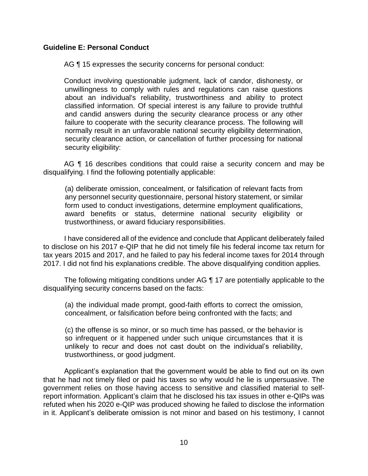### **Guideline E: Personal Conduct**

AG  $\P$  15 expresses the security concerns for personal conduct:

Conduct involving questionable judgment, lack of candor, dishonesty, or unwillingness to comply with rules and regulations can raise questions about an individual's reliability, trustworthiness and ability to protect classified information. Of special interest is any failure to provide truthful and candid answers during the security clearance process or any other failure to cooperate with the security clearance process. The following will normally result in an unfavorable national security eligibility determination, security clearance action, or cancellation of further processing for national security eligibility:

AG ¶ 16 describes conditions that could raise a security concern and may be disqualifying. I find the following potentially applicable:

(a) deliberate omission, concealment, or falsification of relevant facts from any personnel security questionnaire, personal history statement, or similar form used to conduct investigations, determine employment qualifications, award benefits or status, determine national security eligibility or trustworthiness, or award fiduciary responsibilities.

 I have considered all of the evidence and conclude that Applicant deliberately failed to disclose on his 2017 e-QIP that he did not timely file his federal income tax return for tax years 2015 and 2017, and he failed to pay his federal income taxes for 2014 through 2017. I did not find his explanations credible. The above disqualifying condition applies.

 The following mitigating conditions under AG ¶ 17 are potentially applicable to the disqualifying security concerns based on the facts:

(a) the individual made prompt, good-faith efforts to correct the omission, concealment, or falsification before being confronted with the facts; and

(c) the offense is so minor, or so much time has passed, or the behavior is so infrequent or it happened under such unique circumstances that it is unlikely to recur and does not cast doubt on the individual's reliability, trustworthiness, or good judgment.

Applicant's explanation that the government would be able to find out on its own that he had not timely filed or paid his taxes so why would he lie is unpersuasive. The government relies on those having access to sensitive and classified material to selfreport information. Applicant's claim that he disclosed his tax issues in other e-QIPs was refuted when his 2020 e-QIP was produced showing he failed to disclose the information in it. Applicant's deliberate omission is not minor and based on his testimony, I cannot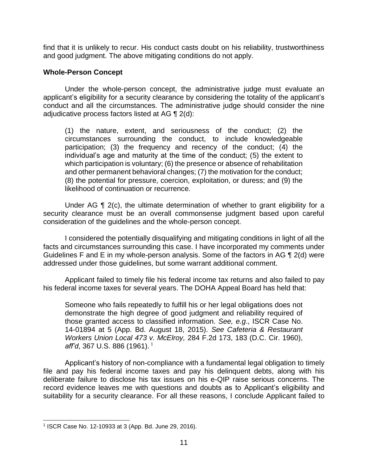find that it is unlikely to recur. His conduct casts doubt on his reliability, trustworthiness and good judgment. The above mitigating conditions do not apply.

#### **Whole-Person Concept**

 Under the whole-person concept, the administrative judge must evaluate an applicant's eligibility for a security clearance by considering the totality of the applicant's conduct and all the circumstances. The administrative judge should consider the nine adjudicative process factors listed at AG ¶ 2(d):

 (1) the nature, extent, and seriousness of the conduct; (2) the circumstances surrounding the conduct, to include knowledgeable participation; (3) the frequency and recency of the conduct; (4) the individual's age and maturity at the time of the conduct; (5) the extent to which participation is voluntary; (6) the presence or absence of rehabilitation and other permanent behavioral changes; (7) the motivation for the conduct; (8) the potential for pressure, coercion, exploitation, or duress; and (9) the likelihood of continuation or recurrence.

 Under AG ¶ 2(c), the ultimate determination of whether to grant eligibility for a security clearance must be an overall commonsense judgment based upon careful consideration of the guidelines and the whole-person concept.

 I considered the potentially disqualifying and mitigating conditions in light of all the Guidelines F and E in my whole-person analysis. Some of the factors in AG ¶ 2(d) were facts and circumstances surrounding this case. I have incorporated my comments under addressed under those guidelines, but some warrant additional comment.

 Applicant failed to timely file his federal income tax returns and also failed to pay his federal income taxes for several years. The DOHA Appeal Board has held that:

Someone who fails repeatedly to fulfill his or her legal obligations does not demonstrate the high degree of good judgment and reliability required of those granted access to classified information. *See, e.g*., ISCR Case No. 14-01894 at 5 (App. Bd. August 18, 2015). *See Cafeteria & Restaurant Workers Union Local 473 v. McElroy,* 284 F.2d 173, 183 (D.C. Cir. 1960), *aff'd*, 367 U.S. 886 (1961).<sup>1</sup>

 Applicant's history of non-compliance with a fundamental legal obligation to timely file and pay his federal income taxes and pay his delinquent debts, along with his deliberate failure to disclose his tax issues on his e-QIP raise serious concerns. The record evidence leaves me with questions and doubts as to Applicant's eligibility and suitability for a security clearance. For all these reasons, I conclude Applicant failed to

 $\overline{a}$ <sup>1</sup> ISCR Case No. 12-10933 at 3 (App. Bd. June 29, 2016).